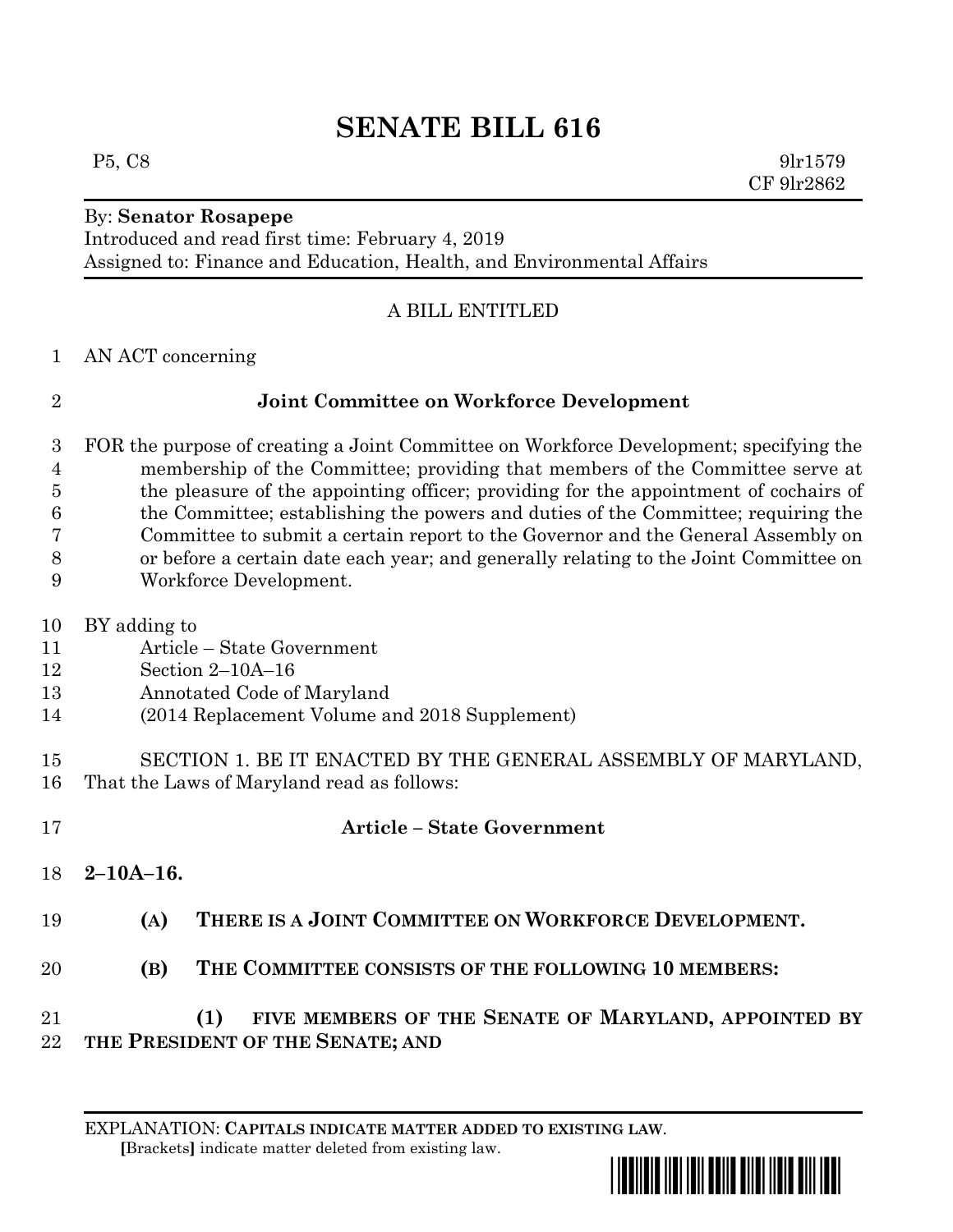# **SENATE BILL 616**

### By: **Senator Rosapepe**

Introduced and read first time: February 4, 2019 Assigned to: Finance and Education, Health, and Environmental Affairs

## A BILL ENTITLED

AN ACT concerning

## **Joint Committee on Workforce Development**

- FOR the purpose of creating a Joint Committee on Workforce Development; specifying the membership of the Committee; providing that members of the Committee serve at 5 the pleasure of the appointing officer; providing for the appointment of cochairs of the Committee; establishing the powers and duties of the Committee; requiring the Committee to submit a certain report to the Governor and the General Assembly on or before a certain date each year; and generally relating to the Joint Committee on Workforce Development.
- BY adding to
- Article State Government
- Section 2–10A–16
- Annotated Code of Maryland
- (2014 Replacement Volume and 2018 Supplement)
- SECTION 1. BE IT ENACTED BY THE GENERAL ASSEMBLY OF MARYLAND, That the Laws of Maryland read as follows:
- **Article – State Government 2–10A–16. (A) THERE IS A JOINT COMMITTEE ON WORKFORCE DEVELOPMENT. (B) THE COMMITTEE CONSISTS OF THE FOLLOWING 10 MEMBERS: (1) FIVE MEMBERS OF THE SENATE OF MARYLAND, APPOINTED BY**
- **THE PRESIDENT OF THE SENATE; AND**

 **[**Brackets**]** indicate matter deleted from existing law.



 $P5, C8$  9lr1579 CF 9lr2862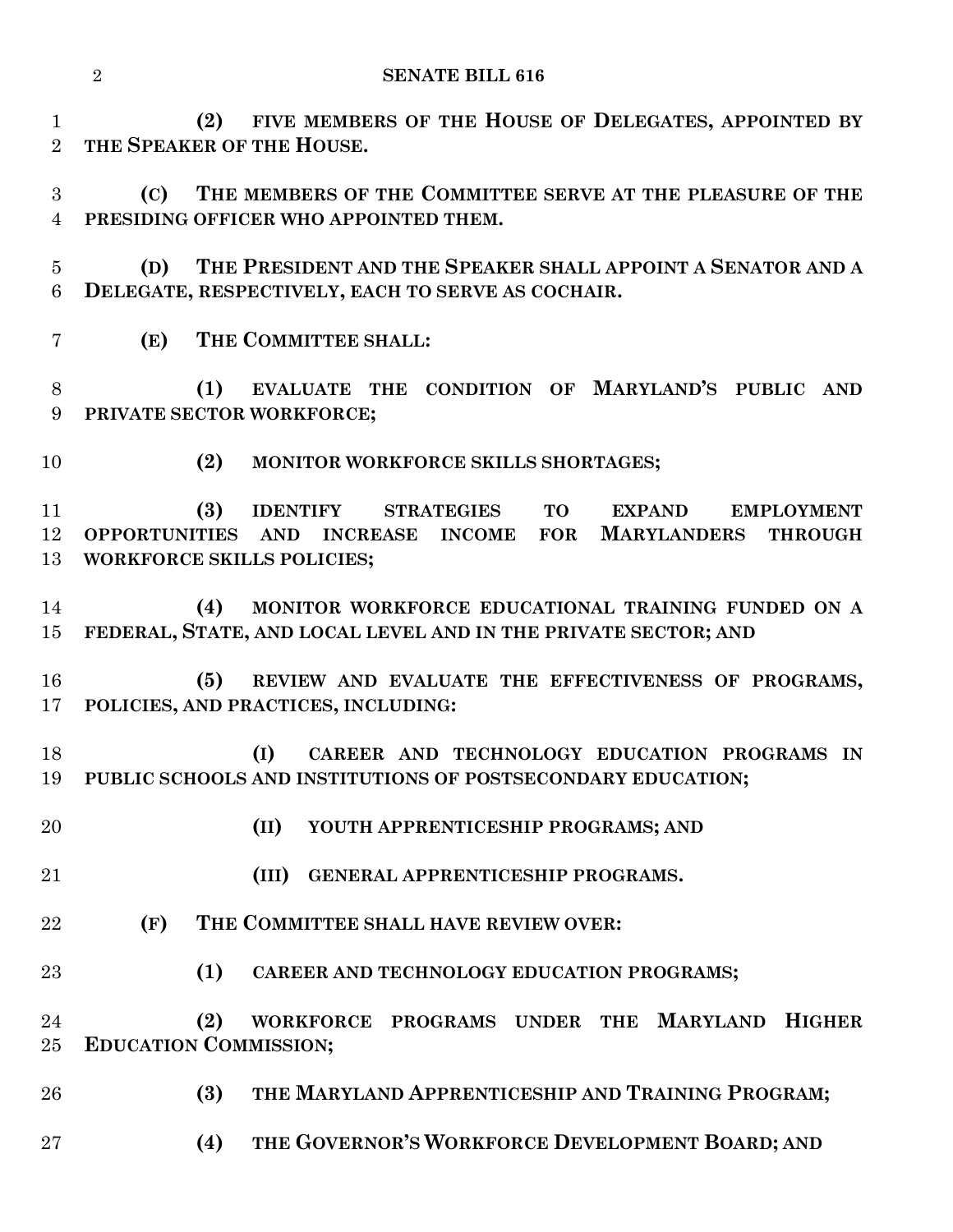**(2) FIVE MEMBERS OF THE HOUSE OF DELEGATES, APPOINTED BY THE SPEAKER OF THE HOUSE.**

 **(C) THE MEMBERS OF THE COMMITTEE SERVE AT THE PLEASURE OF THE PRESIDING OFFICER WHO APPOINTED THEM.**

 **(D) THE PRESIDENT AND THE SPEAKER SHALL APPOINT A SENATOR AND A DELEGATE, RESPECTIVELY, EACH TO SERVE AS COCHAIR.**

**(E) THE COMMITTEE SHALL:**

 **(1) EVALUATE THE CONDITION OF MARYLAND'S PUBLIC AND PRIVATE SECTOR WORKFORCE;**

**(2) MONITOR WORKFORCE SKILLS SHORTAGES;**

 **(3) IDENTIFY STRATEGIES TO EXPAND EMPLOYMENT OPPORTUNITIES AND INCREASE INCOME FOR MARYLANDERS THROUGH WORKFORCE SKILLS POLICIES;**

 **(4) MONITOR WORKFORCE EDUCATIONAL TRAINING FUNDED ON A FEDERAL, STATE, AND LOCAL LEVEL AND IN THE PRIVATE SECTOR; AND**

 **(5) REVIEW AND EVALUATE THE EFFECTIVENESS OF PROGRAMS, POLICIES, AND PRACTICES, INCLUDING:**

 **(I) CAREER AND TECHNOLOGY EDUCATION PROGRAMS IN PUBLIC SCHOOLS AND INSTITUTIONS OF POSTSECONDARY EDUCATION;**

**(II) YOUTH APPRENTICESHIP PROGRAMS; AND**

- **(III) GENERAL APPRENTICESHIP PROGRAMS.**
- **(F) THE COMMITTEE SHALL HAVE REVIEW OVER:**
- **(1) CAREER AND TECHNOLOGY EDUCATION PROGRAMS;**

 **(2) WORKFORCE PROGRAMS UNDER THE MARYLAND HIGHER EDUCATION COMMISSION;**

- **(3) THE MARYLAND APPRENTICESHIP AND TRAINING PROGRAM;**
- **(4) THE GOVERNOR'S WORKFORCE DEVELOPMENT BOARD; AND**